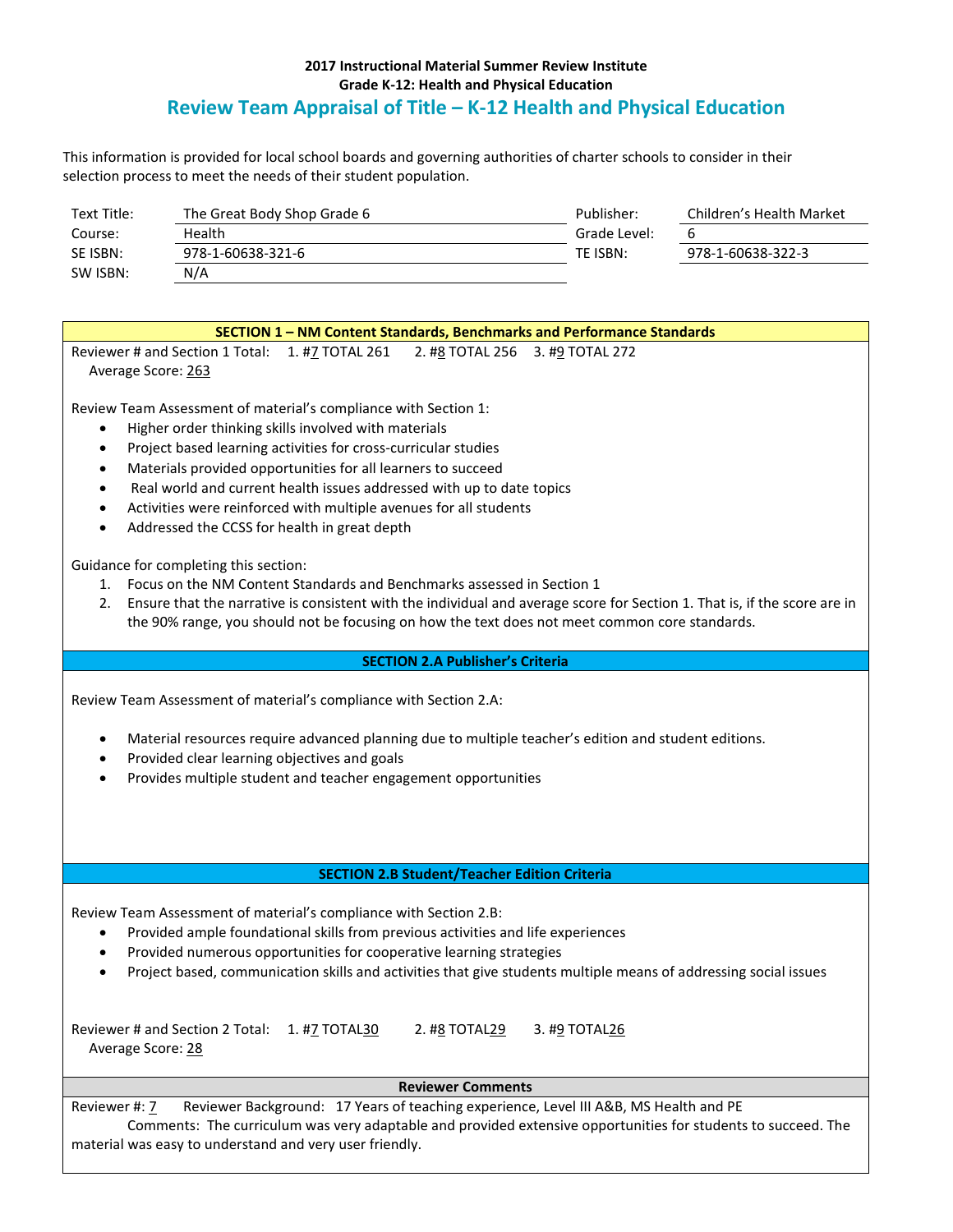## **2017 Instructional Material Summer Review Institute Grade K-12: Health and Physical Education Review Team Appraisal of Title – K-12 Health and Physical Education**

This information is provided for local school boards and governing authorities of charter schools to consider in their selection process to meet the needs of their student population.

| Text Title: | The Great Body Shop Grade 6 | Publisher:   | Children's Health Market |
|-------------|-----------------------------|--------------|--------------------------|
| Course:     | Health                      | Grade Level: | ь                        |
| SE ISBN:    | 978-1-60638-321-6           | TF ISBN:     | 978-1-60638-322-3        |
| SW ISBN:    | N/A                         |              |                          |

| <b>SECTION 1 - NM Content Standards, Benchmarks and Performance Standards</b>                                                                                                                                                                                                                                                                                                                                                                                                                                            |  |  |  |  |  |  |  |
|--------------------------------------------------------------------------------------------------------------------------------------------------------------------------------------------------------------------------------------------------------------------------------------------------------------------------------------------------------------------------------------------------------------------------------------------------------------------------------------------------------------------------|--|--|--|--|--|--|--|
| Reviewer # and Section 1 Total: 1. #7 TOTAL 261 2. #8 TOTAL 256 3. #9 TOTAL 272                                                                                                                                                                                                                                                                                                                                                                                                                                          |  |  |  |  |  |  |  |
| Average Score: 263                                                                                                                                                                                                                                                                                                                                                                                                                                                                                                       |  |  |  |  |  |  |  |
| Review Team Assessment of material's compliance with Section 1:<br>Higher order thinking skills involved with materials<br>$\bullet$<br>Project based learning activities for cross-curricular studies<br>$\bullet$<br>Materials provided opportunities for all learners to succeed<br>$\bullet$<br>Real world and current health issues addressed with up to date topics<br>$\bullet$<br>Activities were reinforced with multiple avenues for all students<br>Addressed the CCSS for health in great depth<br>$\bullet$ |  |  |  |  |  |  |  |

Guidance for completing this section:

- 1. Focus on the NM Content Standards and Benchmarks assessed in Section 1
- 2. Ensure that the narrative is consistent with the individual and average score for Section 1. That is, if the score are in the 90% range, you should not be focusing on how the text does not meet common core standards.

## **SECTION 2.A Publisher's Criteria**

Review Team Assessment of material's compliance with Section 2.A:

- Material resources require advanced planning due to multiple teacher's edition and student editions.
- Provided clear learning objectives and goals
- Provides multiple student and teacher engagement opportunities

## **SECTION 2.B Student/Teacher Edition Criteria**

Review Team Assessment of material's compliance with Section 2.B:

- Provided ample foundational skills from previous activities and life experiences
- Provided numerous opportunities for cooperative learning strategies
- Project based, communication skills and activities that give students multiple means of addressing social issues

| Reviewer # and Section 2 Total: 1. #7 TOTAL30 | 2. #8 TOTAL29 | 3. #9 TOTAL26 |
|-----------------------------------------------|---------------|---------------|
| Average Score: 28                             |               |               |

## **Reviewer Comments**

Reviewer #: 7 Reviewer Background: 17 Years of teaching experience, Level III A&B, MS Health and PE Comments: The curriculum was very adaptable and provided extensive opportunities for students to succeed. The material was easy to understand and very user friendly.